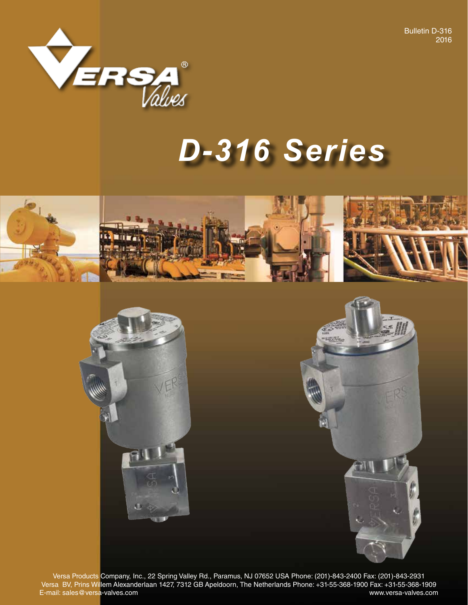Bulletin D-316 2016



# *D-316 Series*



Versa Products Company, Inc., 22 Spring Valley Rd., Paramus, NJ 07652 USA Phone: (201)-843-2400 Fax: (201)-843-2931 Versa BV, Prins Willem Alexanderlaan 1427, 7312 GB Apeldoorn, The Netherlands Phone: +31-55-368-1900 Fax: +31-55-368-1909 E-mail: sales@versa-valves.com www.versa-valves.com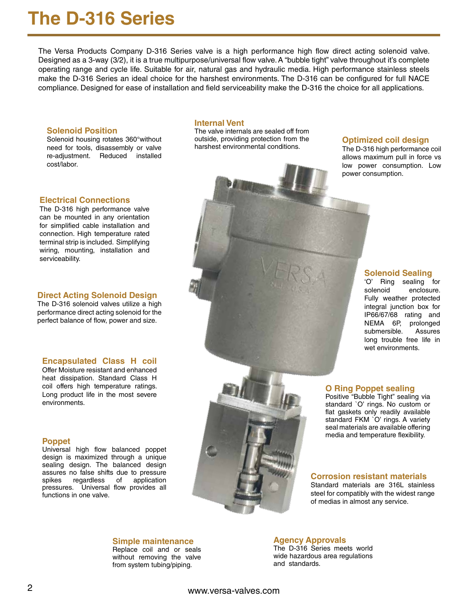## **The D-316 Series**

The Versa Products Company D-316 Series valve is a high performance high flow direct acting solenoid valve. Designed as a 3-way (3/2), it is a true multipurpose/universal flow valve. A "bubble tight" valve throughout it's complete operating range and cycle life. Suitable for air, natural gas and hydraulic media. High performance stainless steels make the D-316 Series an ideal choice for the harshest environments. The D-316 can be configured for full NACE compliance. Designed for ease of installation and field serviceability make the D-316 the choice for all applications.

#### **Solenoid Position**

Solenoid housing rotates 360°without need for tools, disassembly or valve re-adjustment. Reduced installed cost/labor.

#### **Internal Vent**

The valve internals are sealed off from outside, providing protection from the harshest environmental conditions.

#### **Optimized coil design**

The D-316 high performance coil allows maximum pull in force vs low power consumption. Low power consumption.

#### **Electrical Connections**

The D-316 high performance valve can be mounted in any orientation for simplified cable installation and connection. High temperature rated terminal strip is included. Simplifying wiring, mounting, installation and serviceability.

#### **Direct Acting Solenoid Design**

The D-316 solenoid valves utilize a high performance direct acting solenoid for the perfect balance of flow, power and size.

#### **Encapsulated Class H coil**

Offer Moisture resistant and enhanced heat dissipation. Standard Class H coil offers high temperature ratings. Long product life in the most severe environments.

#### **Poppet**

Universal high flow balanced poppet design is maximized through a unique sealing design. The balanced design assures no false shifts due to pressure spikes regardless of application pressures. Universal flow provides all functions in one valve.



'O' Ring sealing for solenoid enclosure. Fully weather protected

integral junction box for IP66/67/68 rating and NEMA 6P, prolonged submersible. Assures long trouble free life in wet environments.

**Solenoid Sealing**

#### **O Ring Poppet sealing**

Positive "Bubble Tight" sealing via standard `O' rings. No custom or flat gaskets only readily available standard FKM `O' rings. A variety seal materials are available offering media and temperature flexibility.

#### **Corrosion resistant materials**

Standard materials are 316L stainless steel for compatibly with the widest range of medias in almost any service.

#### **Simple maintenance** Replace coil and or seals

without removing the valve from system tubing/piping.

**Agency Approvals** The D-316 Series meets world wide hazardous area regulations and standards.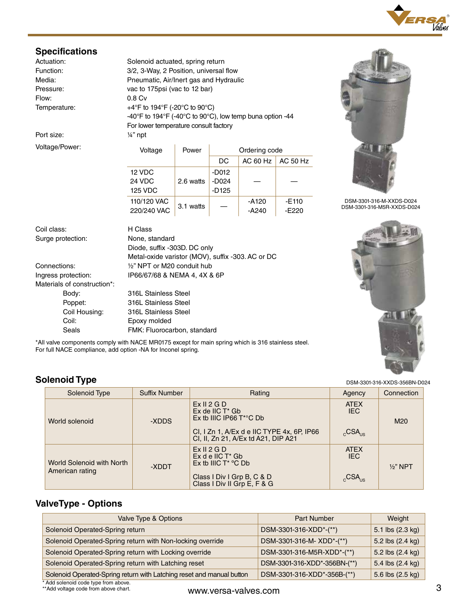

| Actuation:         |
|--------------------|
| Function:          |
| Media:             |
| Pressure:          |
| Flow:              |
| <b>Tomporaturo</b> |

Port size:  $\frac{1}{4}$ " npt

Voltage/Power:

Voltage Power **Ordering code** Solenoid actuated, spring return 3/2, 3-Way, 2 Position, universal flow Pneumatic, Air/Inert gas and Hydraulic vac to 175psi (vac to 12 bar)  $0.8 \,$  Cv Temperature:  $+4^{\circ}$ F to 194 $^{\circ}$ F (-20 $^{\circ}$ C to 90 $^{\circ}$ C) -40°F to 194°F (-40°C to 90°C), low temp buna option -44 For lower temperature consult factory

| Voltage        | Power     | Ordering code |                           |         |  |  |  |  |
|----------------|-----------|---------------|---------------------------|---------|--|--|--|--|
|                |           | DC            | AC 60 Hz $\vert$ AC 50 Hz |         |  |  |  |  |
| 12 VDC         |           | $-D012$       |                           |         |  |  |  |  |
| 24 VDC         | 2.6 watts | -D024         |                           |         |  |  |  |  |
| <b>125 VDC</b> |           | $-D125$       |                           |         |  |  |  |  |
| 110/120 VAC    | 3.1 watts |               | -A120                     | $-E110$ |  |  |  |  |
| 220/240 VAC    |           |               | $-A240$                   | $-E220$ |  |  |  |  |



DSM-3301-316-M-XXDS-D024 DSM-3301-316-M5R-XXDS-D024

Coil class: H Class Surge protection: None, standard

Materials of construction\*:

 Diode, suffix -303D. DC only Metal-oxide varistor (MOV), suffix -303. AC or DC Connections: ½" NPT or M20 conduit hub Ingress protection: IP66/67/68 & NEMA 4, 4X & 6P

> Body: 316L Stainless Steel Poppet: 316L Stainless Steel Coil Housing: 316L Stainless Steel Coil: Epoxy molded Seals FMK: Fluorocarbon, standard



\*All valve components comply with NACE MR0175 except for main spring which is 316 stainless steel. For full NACE compliance, add option -NA for Inconel spring.

### **Solenoid Type**

| Solenoid Type                                | <b>Suffix Number</b> | Rating                                                                            | Agency                    | Connection          |  |
|----------------------------------------------|----------------------|-----------------------------------------------------------------------------------|---------------------------|---------------------|--|
| World solenoid                               | -XDDS                | Ex II 2 G D<br>$Ex$ de IIC $T^*$ Gb<br>Ex tb IIIC IP66 $T^{\ast}$ °C Db           | <b>ATEX</b><br><b>IEC</b> | M <sub>20</sub>     |  |
|                                              |                      | CI, I Zn 1, A/Ex d e IIC TYPE 4x, 6P, IP66<br>CI, II, Zn 21, A/Ex td A21, DIP A21 | $_{c}$ CSA $_{\text{us}}$ |                     |  |
| World Solenoid with North<br>American rating | -XDDT                | Ex II 2 G D<br>$Ex$ d e IIC $T^*$ Gb<br>Ex tb IIIC $T^*$ °C Db                    | <b>ATEX</b><br>IEC.       | $\frac{1}{2}$ " NPT |  |
|                                              |                      | Class I Div I Grp B, C & D<br>Class I Div II Grp E, F & G                         | $_{c}$ CSA <sub>us</sub>  |                     |  |

### **ValveType - Options**

| Valve Type & Options                                                  | <b>Part Number</b>           | Weight           |
|-----------------------------------------------------------------------|------------------------------|------------------|
| Solenoid Operated-Spring return                                       | DSM-3301-316-XDD*-(**)       | 5.1 lbs (2.3 kg) |
| Solenoid Operated-Spring return with Non-locking override             | DSM-3301-316-M-XDD*-(**)     | 5.2 lbs (2.4 kg) |
| Solenoid Operated-Spring return with Locking override                 | DSM-3301-316-M5R-XDD*-(**)   | 5.2 lbs (2.4 kg) |
| Solenoid Operated-Spring return with Latching reset                   | DSM-3301-316-XDD*-356BN-(**) | 5.4 lbs (2.4 kg) |
| Solenoid Operated-Spring return with Latching reset and manual button | DSM-3301-316-XDD*-356B-(**)  | 5.6 lbs (2.5 kg) |

\* Add solenoid code type from above. \*\*Add voltage code from above chart.